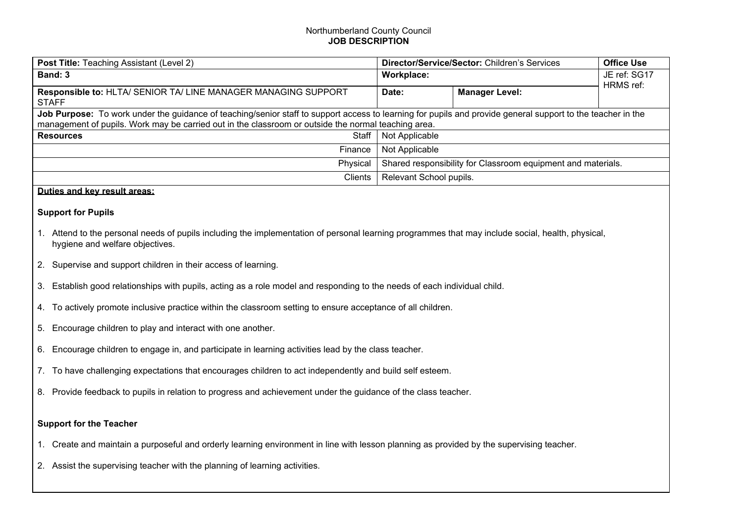## Northumberland County Council **JOB DESCRIPTION**

| <b>Post Title:</b> Teaching Assistant (Level 2)                                                                                                                                                                                                                    | Director/Service/Sector: Children's Services                 |                       | <b>Office Use</b>         |  |  |
|--------------------------------------------------------------------------------------------------------------------------------------------------------------------------------------------------------------------------------------------------------------------|--------------------------------------------------------------|-----------------------|---------------------------|--|--|
| Band: 3                                                                                                                                                                                                                                                            | Workplace:                                                   |                       | JE ref: SG17<br>HRMS ref: |  |  |
| Responsible to: HLTA/ SENIOR TA/ LINE MANAGER MANAGING SUPPORT<br><b>STAFF</b>                                                                                                                                                                                     | Date:                                                        | <b>Manager Level:</b> |                           |  |  |
| Job Purpose: To work under the guidance of teaching/senior staff to support access to learning for pupils and provide general support to the teacher in the<br>management of pupils. Work may be carried out in the classroom or outside the normal teaching area. |                                                              |                       |                           |  |  |
| Staff<br><b>Resources</b>                                                                                                                                                                                                                                          | Not Applicable                                               |                       |                           |  |  |
| Finance                                                                                                                                                                                                                                                            | Not Applicable                                               |                       |                           |  |  |
| Physical                                                                                                                                                                                                                                                           | Shared responsibility for Classroom equipment and materials. |                       |                           |  |  |
| Clients                                                                                                                                                                                                                                                            | Relevant School pupils.                                      |                       |                           |  |  |
| Duties and key result areas:                                                                                                                                                                                                                                       |                                                              |                       |                           |  |  |
| <b>Support for Pupils</b>                                                                                                                                                                                                                                          |                                                              |                       |                           |  |  |
| Attend to the personal needs of pupils including the implementation of personal learning programmes that may include social, health, physical,<br>hygiene and welfare objectives.                                                                                  |                                                              |                       |                           |  |  |

- 2. Supervise and support children in their access of learning.
- 3. Establish good relationships with pupils, acting as a role model and responding to the needs of each individual child.
- 4. To actively promote inclusive practice within the classroom setting to ensure acceptance of all children.
- 5. Encourage children to play and interact with one another.
- 6. Encourage children to engage in, and participate in learning activities lead by the class teacher.
- 7. To have challenging expectations that encourages children to act independently and build self esteem.
- 8. Provide feedback to pupils in relation to progress and achievement under the guidance of the class teacher.

## **Support for the Teacher**

- 1. Create and maintain a purposeful and orderly learning environment in line with lesson planning as provided by the supervising teacher.
- 2. Assist the supervising teacher with the planning of learning activities.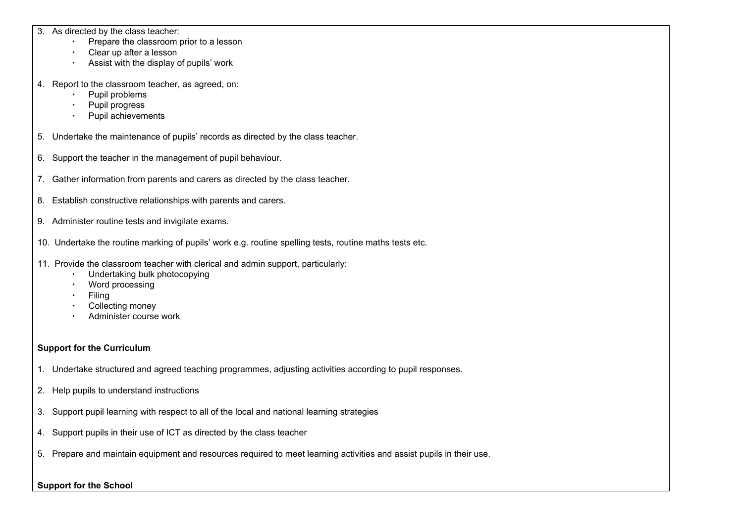3. As directed by the class teacher:

- ∙ Prepare the classroom prior to a lesson
- ∙ Clear up after a lesson
- ∙ Assist with the display of pupils' work
- 4. Report to the classroom teacher, as agreed, on:
	- ∙ Pupil problems
	- ∙ Pupil progress
	- ∙ Pupil achievements
- 5. Undertake the maintenance of pupils' records as directed by the class teacher.
- 6. Support the teacher in the management of pupil behaviour.
- 7. Gather information from parents and carers as directed by the class teacher.
- 8. Establish constructive relationships with parents and carers.
- 9. Administer routine tests and invigilate exams.
- 10. Undertake the routine marking of pupils' work e.g. routine spelling tests, routine maths tests etc.
- 11. Provide the classroom teacher with clerical and admin support, particularly:
	- ∙ Undertaking bulk photocopying
	- ∙ Word processing
	- ∙ Filing
	- ∙ Collecting money
	- ∙ Administer course work

# **Support for the Curriculum**

- 1. Undertake structured and agreed teaching programmes, adjusting activities according to pupil responses.
- 2. Help pupils to understand instructions
- 3. Support pupil learning with respect to all of the local and national learning strategies
- 4. Support pupils in their use of ICT as directed by the class teacher
- 5. Prepare and maintain equipment and resources required to meet learning activities and assist pupils in their use.

## **Support for the School**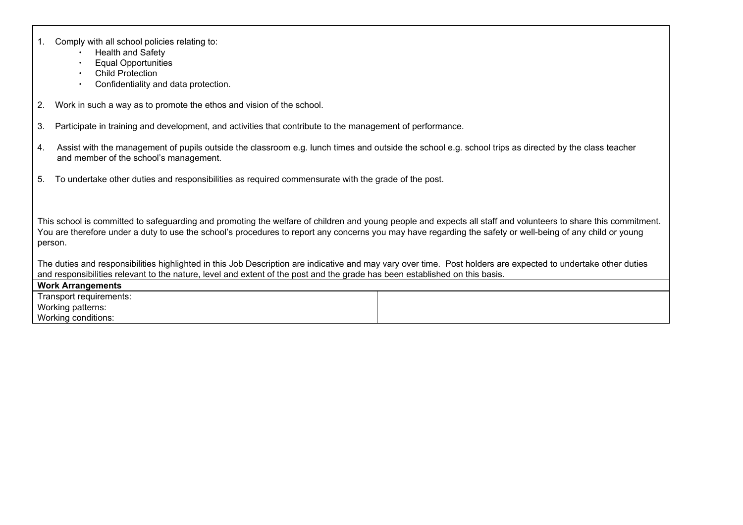|  | 1. Comply with all school policies relating to: |
|--|-------------------------------------------------|
|--|-------------------------------------------------|

- ∙ Health and Safety
- ∙ Equal Opportunities
- ∙ Child Protection
- ∙ Confidentiality and data protection.
- 2. Work in such a way as to promote the ethos and vision of the school.
- 3. Participate in training and development, and activities that contribute to the management of performance.
- 4. Assist with the management of pupils outside the classroom e.g. lunch times and outside the school e.g. school trips as directed by the class teacher and member of the school's management.
- 5. To undertake other duties and responsibilities as required commensurate with the grade of the post.

This school is committed to safeguarding and promoting the welfare of children and young people and expects all staff and volunteers to share this commitment. You are therefore under a duty to use the school's procedures to report any concerns you may have regarding the safety or well-being of any child or young person.

The duties and responsibilities highlighted in this Job Description are indicative and may vary over time. Post holders are expected to undertake other duties and responsibilities relevant to the nature, level and extent of the post and the grade has been established on this basis.

**Work Arrangements** Transport requirements: Working patterns: Working conditions: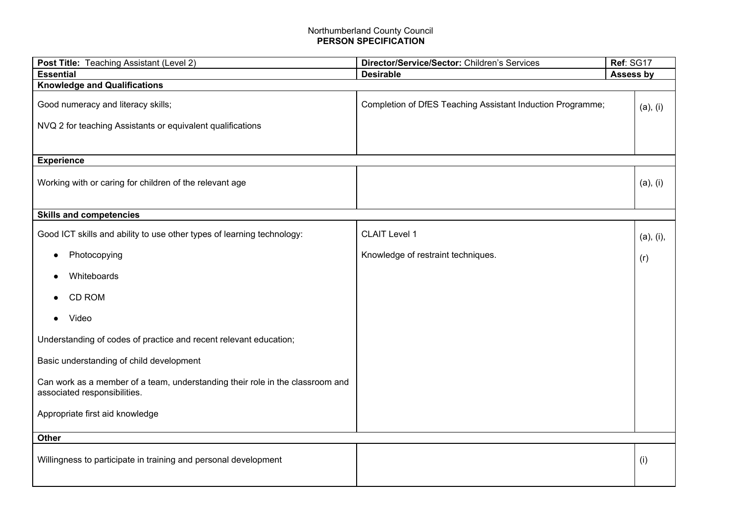#### Northumberland County Council **PERSON SPECIFICATION**

| Post Title: Teaching Assistant (Level 2)                                      | Director/Service/Sector: Children's Services<br>Ref: SG17  |           |  |  |  |  |
|-------------------------------------------------------------------------------|------------------------------------------------------------|-----------|--|--|--|--|
| <b>Essential</b>                                                              | <b>Desirable</b><br>Assess by                              |           |  |  |  |  |
| <b>Knowledge and Qualifications</b>                                           |                                                            |           |  |  |  |  |
| Good numeracy and literacy skills;                                            | Completion of DfES Teaching Assistant Induction Programme; | (a), (i)  |  |  |  |  |
| NVQ 2 for teaching Assistants or equivalent qualifications                    |                                                            |           |  |  |  |  |
|                                                                               |                                                            |           |  |  |  |  |
|                                                                               |                                                            |           |  |  |  |  |
| <b>Experience</b>                                                             |                                                            |           |  |  |  |  |
|                                                                               |                                                            |           |  |  |  |  |
| Working with or caring for children of the relevant age                       |                                                            | (a), (i)  |  |  |  |  |
|                                                                               |                                                            |           |  |  |  |  |
|                                                                               |                                                            |           |  |  |  |  |
| <b>Skills and competencies</b>                                                |                                                            |           |  |  |  |  |
| Good ICT skills and ability to use other types of learning technology:        | <b>CLAIT Level 1</b>                                       | (a), (i), |  |  |  |  |
|                                                                               |                                                            |           |  |  |  |  |
| Photocopying                                                                  | Knowledge of restraint techniques.                         | (r)       |  |  |  |  |
|                                                                               |                                                            |           |  |  |  |  |
| Whiteboards                                                                   |                                                            |           |  |  |  |  |
| <b>CD ROM</b>                                                                 |                                                            |           |  |  |  |  |
| Video                                                                         |                                                            |           |  |  |  |  |
|                                                                               |                                                            |           |  |  |  |  |
| Understanding of codes of practice and recent relevant education;             |                                                            |           |  |  |  |  |
| Basic understanding of child development                                      |                                                            |           |  |  |  |  |
| Can work as a member of a team, understanding their role in the classroom and |                                                            |           |  |  |  |  |
| associated responsibilities.                                                  |                                                            |           |  |  |  |  |
|                                                                               |                                                            |           |  |  |  |  |
| Appropriate first aid knowledge                                               |                                                            |           |  |  |  |  |
|                                                                               |                                                            |           |  |  |  |  |
| <b>Other</b>                                                                  |                                                            |           |  |  |  |  |
|                                                                               |                                                            | (i)       |  |  |  |  |
| Willingness to participate in training and personal development               |                                                            |           |  |  |  |  |
|                                                                               |                                                            |           |  |  |  |  |
|                                                                               |                                                            |           |  |  |  |  |